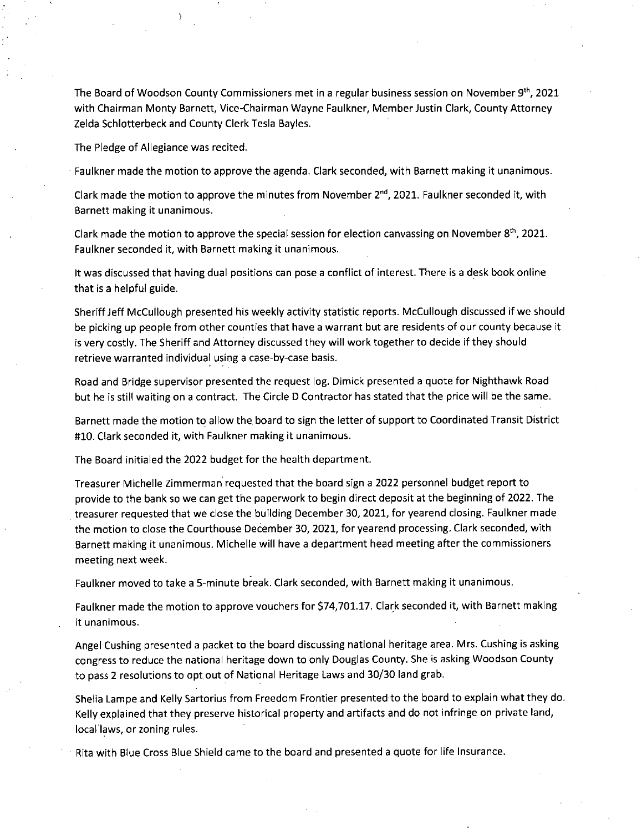The Board of Woodson County Commissioners met in a regular business session on November  $9<sup>th</sup>$ , 2021 with Chairman Monty Barnett, Vice-Chairman Wayne Faulkner, Member Justin Clark, County Attorney Zelda Schlotterbeck and County Clerk Tesla Bayles.

The Pledge of Allegiance was recited.

Faulkner made the motion to approve the agenda. Clark seconded, with Barnett making it unanimous.

Clark made the motion to approve the minutes from November  $2^{nd}$ , 2021. Faulkner seconded it, with Barnett making it unanimous.

Clark made the motion to approve the special session for election canvassing on November 8<sup>th</sup>, 2021. Faulkner seconded it, with Barnett making it unanimous.

It was discussed that having dual positions can pose a conflict of interest. There is a desk book online that is a helpful guide.

Sheriff Jeff McCullough presented his weekly activity statistic reports. McCullough discussed if we should be picking up people from other counties that have a warrant but are residents of our county because it is very costly. The Sheriff and Attorney discussed they will work together to decide if they should retrieve warranted individual using a case-by-case basis.

Road and Bridge supervisor presented the request log. Dimick presented a quote for Nighthawk Road but he is still waiting on a contract. The Circle D Contractor has stated that the price will be the same.

Barnett made the motion to allow the board to sign the letter of support to Coordinated Transit District #10. Clark seconded it, with Faulkner making it unanimous.

The Board initialed the 2022 budget for the health department.

Treasurer Michelle Zimmerman requested that the board sign a 2022 personnel budget report to provide to the bank so we can get the paperwork to begin direct deposit at the beginning of 2022. The treasurer requested that we close the building December 30, 2021, for yearend closing. Faulkner made the motion to close the Courthouse December 30, 2021, for yearend processing. Clark seconded, with Barnett making it unanimous. Michelle will have a department head meeting after the commissioners meeting next week.

Faulkner moved to take a 5-minute break. Clark seconded, with Barnett making it unanimous.

Faulkner made the motion to approve vouchers for \$74,701.17. Clark seconded it, with Barnett making it unanimous.

Angel Cushing presented a packet to the board discussing national heritage area. Mrs. Cushing is asking congress to reduce the national heritage down to only Douglas County. She is asking Woodson County to pass 2 resolutions to opt out of National Heritage Laws and 30/30 land grab.

Shelia Lampe and Kelly Sartorius from Freedom Frontier presented to the board to explain what they do. Kelly explained that they preserve historical property and artifacts and do not infringe on private land, local laws, or zoning rules.

Rita with Blue Cross Blue Shield came to the board and presented a quote for life Insurance.